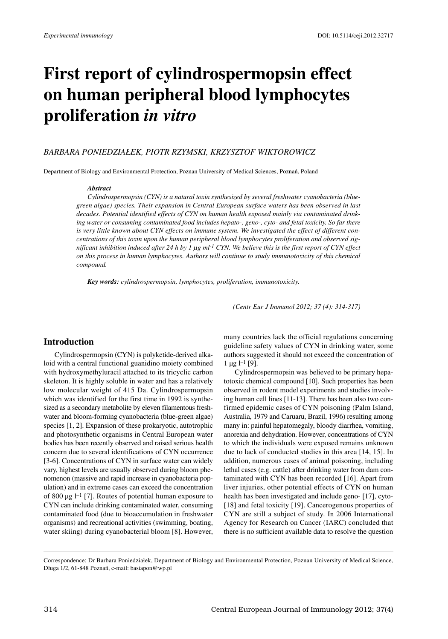# **First report of cylindrospermopsin effect on human peripheral blood lymphocytes proliferation** *in vitro*

## *BARBARA PONIEDZIAŁEK, PIOTR RZYMSKI, KRZYSZTOF WIKTOROWICZ*

Department of Biology and Environmental Protection, Poznan University of Medical Sciences, Poznań, Poland

#### *Abstract*

*Cylindrospermopsin (CYN) is a natural toxin synthesized by several freshwater cyanobacteria (bluegreen algae) species. Their expansion in Central European surface waters has been observed in last decades. Potential identified effects of CYN on human health exposed mainly via contaminated drinking water or consuming contaminated food includes hepato-, geno-, cyto- and fetal toxicity. So far there is very little known about CYN effects on immune system. We investigated the effect of different concentrations of this toxin upon the human peripheral blood lymphocytes proliferation and observed sig*nificant inhibition induced after 24 h by 1  $\mu$ g ml<sup>-1</sup> CYN. We believe this is the first report of CYN effect *on this process in human lymphocytes. Authors will continue to study immunotoxicity of this chemical compound.*

*Key words: cylindrospermopsin, lymphocytes, proliferation, immunotoxicity.*

*(Centr Eur J Immunol 2012; 37 (4): 314-317)*

# **Introduction**

Cylindrospermopsin (CYN) is polyketide-derived alkaloid with a central functional guanidino moiety combined with hydroxymethyluracil attached to its tricyclic carbon skeleton. It is highly soluble in water and has a relatively low molecular weight of 415 Da. Cylindrospermopsin which was identified for the first time in 1992 is synthesized as a secondary metabolite by eleven filamentous freshwater and bloom-forming cyanobacteria (blue-green algae) species [1, 2]. Expansion of these prokaryotic, autotrophic and photosynthetic organisms in Central European water bodies has been recently observed and raised serious health concern due to several identifications of CYN occurrence [3-6]. Concentrations of CYN in surface water can widely vary, highest levels are usually observed during bloom phenomenon (massive and rapid increase in cyanobacteria population) and in extreme cases can exceed the concentration of 800  $\mu$ g l<sup>-1</sup> [7]. Routes of potential human exposure to CYN can include drinking contaminated water, consuming contaminated food (due to bioaccumulation in freshwater organisms) and recreational activities (swimming, boating, water skiing) during cyanobacterial bloom [8]. However, many countries lack the official regulations concerning guideline safety values of CYN in drinking water, some authors suggested it should not exceed the concentration of  $1 \mu g$  l<sup>-1</sup> [9].

Cylindrospermopsin was believed to be primary hepatotoxic chemical compound [10]. Such properties has been observed in rodent model experiments and studies involving human cell lines [11-13]. There has been also two confirmed epidemic cases of CYN poisoning (Palm Island, Australia, 1979 and Caruaru, Brazil, 1996) resulting among many in: painful hepatomegaly, bloody diarrhea, vomiting, anorexia and dehydration. However, concentrations of CYN to which the individuals were exposed remains unknown due to lack of conducted studies in this area [14, 15]. In addition, numerous cases of animal poisoning, including lethal cases (e.g. cattle) after drinking water from dam contaminated with CYN has been recorded [16]. Apart from liver injuries, other potential effects of CYN on human health has been investigated and include geno- [17], cyto- [18] and fetal toxicity [19]. Cancerogenous properties of CYN are still a subject of study. In 2006 International Agency for Research on Cancer (IARC) concluded that there is no sufficient available data to resolve the question

Correspondence: Dr Barbara Poniedziałek, Department of Biology and Environmental Protection, Poznan University of Medical Science, Długa 1/2, 61-848 Poznań, e-mail: basiapon@wp.pl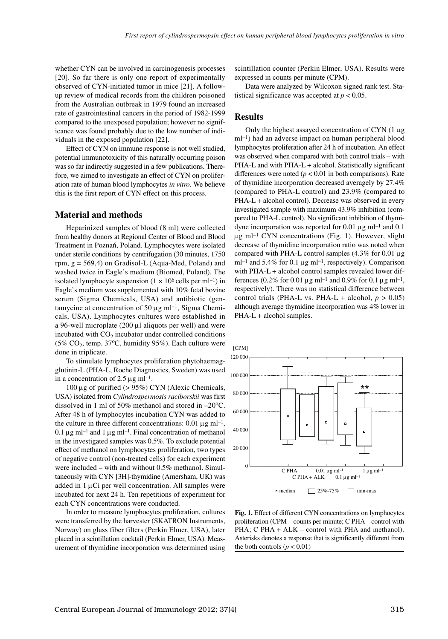whether CYN can be involved in carcinogenesis processes [20]. So far there is only one report of experimentally observed of CYN-initiated tumor in mice [21]. A followup review of medical records from the children poisoned from the Australian outbreak in 1979 found an increased rate of gastrointestinal cancers in the period of 1982-1999 compared to the unexposed population; however no significance was found probably due to the low number of individuals in the exposed population [22].

Effect of CYN on immune response is not well studied, potential immunotoxicity of this naturally occurring poison was so far indirectly suggested in a few publications. Therefore, we aimed to investigate an effect of CYN on proliferation rate of human blood lymphocytes *in vitro*. We believe this is the first report of CYN effect on this process.

#### **Material and methods**

Heparinized samples of blood (8 ml) were collected from healthy donors at Regional Center of Blood and Blood Treatment in Poznań, Poland. Lymphocytes were isolated under sterile conditions by centrifugation (30 minutes, 1750 rpm,  $g = 569,4$ ) on Gradisol-L (Aqua-Med, Poland) and washed twice in Eagle's medium (Biomed, Poland). The isolated lymphocyte suspension  $(1 \times 10^6 \text{ cells per ml}^{-1})$  in Eagle's medium was supplemented with 10% fetal bovine serum (Sigma Chemicals, USA) and antibiotic (gentamycine at concentration of 50  $\mu$ g ml<sup>-1</sup>, Sigma Chemicals, USA). Lymphocytes cultures were established in a 96-well microplate  $(200 \mu l)$  aliquots per well) and were incubated with CO<sub>2</sub> incubator under controlled conditions (5%  $CO<sub>2</sub>$ , temp. 37°C, humidity 95%). Each culture were done in triplicate.

To stimulate lymphocytes proliferation phytohaemagglutinin-L (PHA-L, Roche Diagnostics, Sweden) was used in a concentration of  $2.5 \mu$ g ml<sup>-1</sup>.

100 µg of purified (> 95%) CYN (Alexic Chemicals, USA) isolated from *Cylindrospermosis raciborskii* was first dissolved in 1 ml of 50% methanol and stored in  $-20^{\circ}$ C. After 48 h of lymphocytes incubation CYN was added to the culture in three different concentrations:  $0.01 \mu g$  ml<sup>-1</sup>, 0.1  $\mu$ g ml<sup>-1</sup> and 1  $\mu$ g ml<sup>-1</sup>. Final concentration of methanol in the investigated samples was 0.5%. To exclude potential effect of methanol on lymphocytes proliferation, two types of negative control (non-treated cells) for each experiment were included – with and without 0.5% methanol. Simultaneously with CYN [3H]-thymidine (Amersham, UK) was added in  $1 \mu$ Ci per well concentration. All samples were incubated for next 24 h. Ten repetitions of experiment for each CYN concentrations were conducted.

In order to measure lymphocytes proliferation, cultures were transferred by the harvester (SKATRON Instruments, Norway) on glass fiber filters (Perkin Elmer, USA), later placed in a scintillation cocktail (Perkin Elmer, USA). Measurement of thymidine incorporation was determined using

scintillation counter (Perkin Elmer, USA). Results were expressed in counts per minute (CPM).

Data were analyzed by Wilcoxon signed rank test. Statistical significance was accepted at  $p < 0.05$ .

## **Results**

Only the highest assayed concentration of CYN  $(1 \mu g)$ ml–1) had an adverse impact on human peripheral blood lymphocytes proliferation after 24 h of incubation. An effect was observed when compared with both control trials – with PHA-L and with PHA-L + alcohol. Statistically significant differences were noted  $(p < 0.01$  in both comparisons). Rate of thymidine incorporation decreased averagely by 27.4% (compared to PHA-L control) and 23.9% (compared to PHA-L + alcohol control). Decrease was observed in every investigated sample with maximum 43.9% inhibition (compared to PHA-L control). No significant inhibition of thymidyne incorporation was reported for 0.01  $\mu$ g ml<sup>-1</sup> and 0.1  $\mu$ g ml<sup>-1</sup> CYN concentrations (Fig. 1). However, slight decrease of thymidine incorporation ratio was noted when compared with PHA-L control samples  $(4.3\%$  for 0.01  $\mu$ g ml<sup>-1</sup> and 5.4% for 0.1  $\mu$ g ml<sup>-1</sup>, respectively). Comparison with PHA-L + alcohol control samples revealed lower differences (0.2% for 0.01  $\mu$ g ml<sup>-1</sup> and 0.9% for 0.1  $\mu$ g ml<sup>-1</sup>, respectively). There was no statistical difference between control trials (PHA-L vs. PHA-L + alcohol,  $p > 0.05$ ) although average thymidine incorporation was 4% lower in PHA-L + alcohol samples.



**Fig. 1.** Effect of different CYN concentrations on lymphocytes proliferation (CPM – counts per minute; C PHA – control with PHA; C PHA + ALK – control with PHA and methanol). Asterisks denotes a response that is significantly different from the both controls  $(p < 0.01)$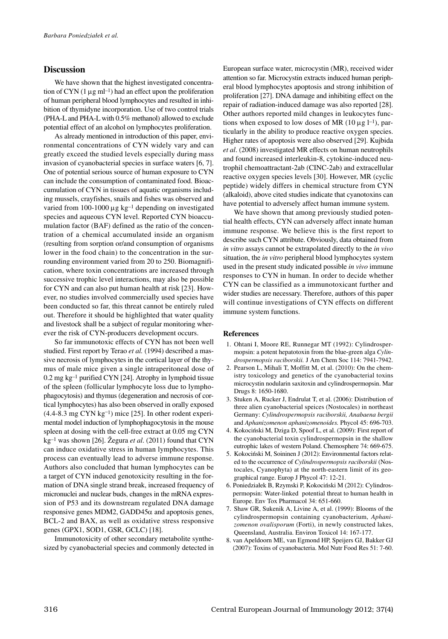## **Discussion**

We have shown that the highest investigated concentration of CYN  $(1 \mu g \text{ ml}^{-1})$  had an effect upon the proliferation of human peripheral blood lymphocytes and resulted in inhibition of thymidyne incorporation. Use of two control trials (PHA-L and PHA-L with 0.5% methanol) allowed to exclude potential effect of an alcohol on lymphocytes proliferation.

As already mentioned in introduction of this paper, environmental concentrations of CYN widely vary and can greatly exceed the studied levels especially during mass invasion of cyanobacterial species in surface waters [6, 7]. One of potential serious source of human exposure to CYN can include the consumption of contaminated food. Bioaccumulation of CYN in tissues of aquatic organisms including mussels, crayfishes, snails and fishes was observed and varied from 100-1000  $\mu$ g kg<sup>-1</sup> depending on investigated species and aqueous CYN level. Reported CYN bioaccumulation factor (BAF) defined as the ratio of the concentration of a chemical accumulated inside an organism (resulting from sorption or/and consumption of organisms lower in the food chain) to the concentration in the surrounding environment varied from 20 to 250. Biomagnification, where toxin concentrations are increased through successive trophic level interactions, may also be possible for CYN and can also put human health at risk [23]. However, no studies involved commercially used species have been conducted so far, this threat cannot be entirely ruled out. Therefore it should be highlighted that water quality and livestock shall be a subject of regular monitoring wherever the risk of CYN-producers development occurs.

So far immunotoxic effects of CYN has not been well studied. First report by Terao *et al.* (1994) described a massive necrosis of lymphocytes in the cortical layer of the thymus of male mice given a single intraperitoneal dose of 0.2 mg kg–1 purified CYN [24]. Atrophy in lymphoid tissue of the spleen (follicular lymphocyte loss due to lymphophagocytosis) and thymus (degeneration and necrosis of cortical lymphocytes) has also been observed in orally exposed  $(4.4-8.3 \text{ mg CYN kg}^{-1})$  mice [25]. In other rodent experimental model induction of lymphophagocytosis in the mouse spleen at dosing with the cell-free extract at 0.05 mg CYN kg–1 was shown [26]. Žegura *et al*. (2011) found that CYN can induce oxidative stress in human lymphocytes. This process can eventually lead to adverse immune response. Authors also concluded that human lymphocytes can be a target of CYN induced genotoxicity resulting in the formation of DNA single strand break, increased frequency of micronuclei and nuclear buds, changes in the mRNA expression of P53 and its downstream regulated DNA damage responsive genes MDM2, GADD45α and apoptosis genes, BCL-2 and BAX, as well as oxidative stress responsive genes (GPX1, SOD1, GSR, GCLC) [18].

Immunotoxicity of other secondary metabolite synthesized by cyanobacterial species and commonly detected in European surface water, microcystin (MR), received wider attention so far. Microcystin extracts induced human peripheral blood lymphocytes apoptosis and strong inhibition of proliferation [27]. DNA damage and inhibiting effect on the repair of radiation-induced damage was also reported [28]. Other authors reported mild changes in leukocytes functions when exposed to low doses of MR  $(10 \mu g l^{-1})$ , particularly in the ability to produce reactive oxygen species. Higher rates of apoptosis were also observed [29]. Kujbida *et al*. (2008) investigated MR effects on human neutrophils and found increased interleukin-8, cytokine-induced neutrophil chemoattractant-2ab (CINC-2ab) and extracellular reactive oxygen species levels [30]. However, MR (cyclic peptide) widely differs in chemical structure from CYN (alkaloid), above cited studies indicate that cyanotoxins can have potential to adversely affect human immune system.

We have shown that among previously studied potential health effects, CYN can adversely affect innate human immune response. We believe this is the first report to describe such CYN attribute. Obviously, data obtained from *in vitro* assays cannot be extrapolated directly to the *in vivo* situation, the *in vitro* peripheral blood lymphocytes system used in the present study indicated possible *in vivo* immune responses to CYN in human. In order to decide whether CYN can be classified as a immunotoxicant further and wider studies are necessary. Therefore, authors of this paper will continue investigations of CYN effects on different immune system functions.

#### **References**

- 1. Ohtani I, Moore RE, Runnegar MT (1992): Cylindrospermopsin: a potent hepatotoxin from the blue-green alga *Cylindrospermopsis raciborskii.* J Am Chem Soc 114: 7941-7942.
- 2. Pearson L, Mihali T, Moffitt M, et al. (2010): On the chemistry toxicology and genetics of the cyanobacterial toxins microcystin nodularin saxitoxin and cylindrospermopsin. Mar Drugs 8: 1650-1680.
- 3. Stuken A, Rucker J, Endrulat T, et al. (2006): Distribution of three alien cyanobacterial speices (Nostocales) in northeast Germany: *Cylindrospermopsis raciborskii, Anabaena bergii* and *Aphanizomenon aphanizomenoides.* Phycol 45: 696-703.
- 4. Kokociński M, Dziga D, Spoof L, et al. (2009): First report of the cyanobacterial toxin cylindrospermopsin in the shallow eutrophic lakes of western Poland. Chemosphere 74: 669-675.
- 5. Kokociński M, Soininen J (2012): Environmental factors related to the occurrence of *Cylindrospermopsis raciborskii* (Nostocales, Cyanophyta) at the north-eastern limit of its geographical range. Europ J Phycol 47: 12-21.
- 6. Poniedziałek B, Rzymski P, Kokociński M (2012): Cylindrospermopsin: Water-linked potential threat to human health in Europe. Env Tox Pharmacol 34: 651-660.
- 7. Shaw GR, Sukenik A, Livine A, et al. (1999): Blooms of the cylindrospermopsin containing cyanobacterium, *Aphanizomenon ovalisporum* (Forti), in newly constructed lakes, Queensland, Australia. Environ Toxicol 14: 167-177.
- 8. van Apeldoorn ME, van Egmond HP, Speijers GJ, Bakker GJ (2007): Toxins of cyanobacteria. Mol Nutr Food Res 51: 7-60.